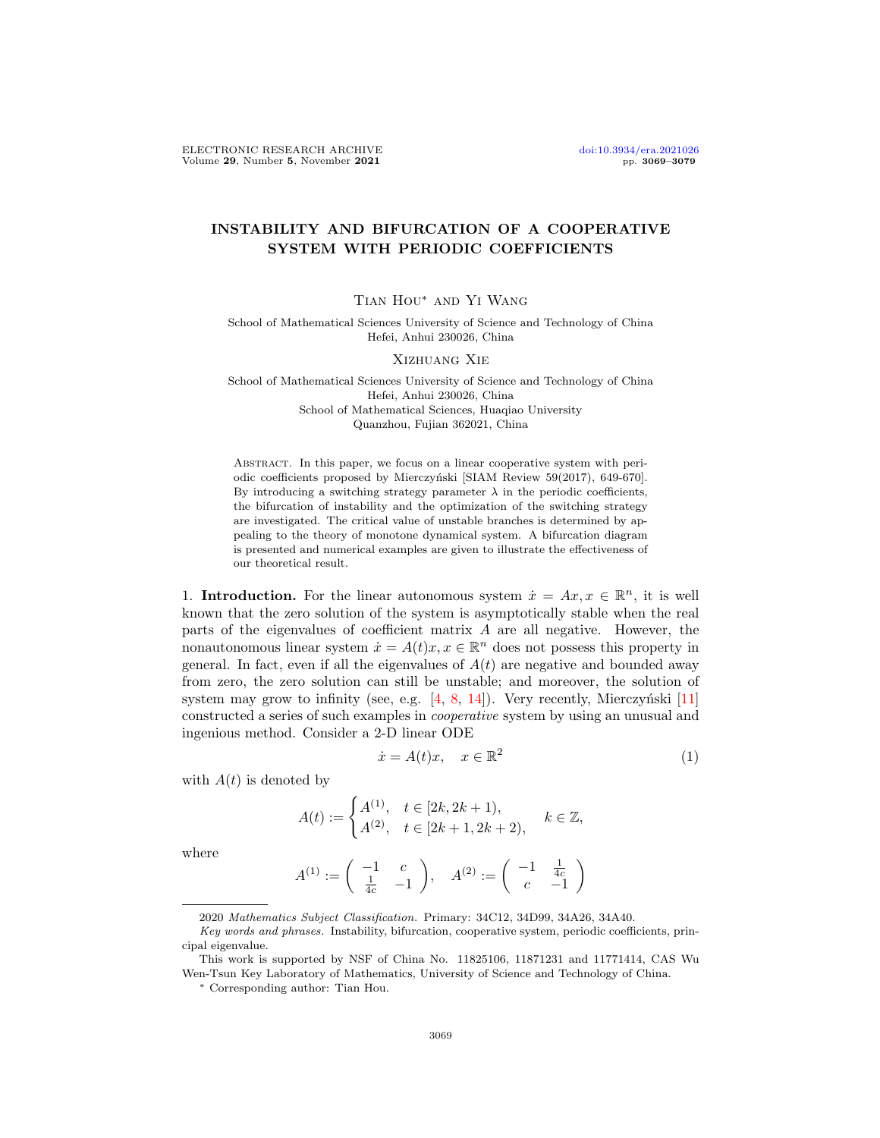## INSTABILITY AND BIFURCATION OF A COOPERATIVE SYSTEM WITH PERIODIC COEFFICIENTS

Tian Hou∗ and Yi Wang

School of Mathematical Sciences University of Science and Technology of China Hefei, Anhui 230026, China

## Xizhuang Xie

School of Mathematical Sciences University of Science and Technology of China Hefei, Anhui 230026, China School of Mathematical Sciences, Huaqiao University Quanzhou, Fujian 362021, China

Abstract. In this paper, we focus on a linear cooperative system with periodic coefficients proposed by Mierczyński [SIAM Review 59(2017), 649-670]. By introducing a switching strategy parameter  $\lambda$  in the periodic coefficients, the bifurcation of instability and the optimization of the switching strategy are investigated. The critical value of unstable branches is determined by appealing to the theory of monotone dynamical system. A bifurcation diagram is presented and numerical examples are given to illustrate the effectiveness of our theoretical result.

1. Introduction. For the linear autonomous system  $\dot{x} = Ax, x \in \mathbb{R}^n$ , it is well known that the zero solution of the system is asymptotically stable when the real parts of the eigenvalues of coefficient matrix A are all negative. However, the nonautonomous linear system  $\dot{x} = A(t)x, x \in \mathbb{R}^n$  does not possess this property in general. In fact, even if all the eigenvalues of  $A(t)$  are negative and bounded away from zero, the zero solution can still be unstable; and moreover, the solution of system may grow to infinity (see, e.g.  $[4, 8, 14]$  $[4, 8, 14]$  $[4, 8, 14]$  $[4, 8, 14]$  $[4, 8, 14]$ ). Very recently, Mierczyński  $[11]$ constructed a series of such examples in cooperative system by using an unusual and ingenious method. Consider a 2-D linear ODE

<span id="page-0-0"></span>
$$
\dot{x} = A(t)x, \quad x \in \mathbb{R}^2 \tag{1}
$$

with  $A(t)$  is denoted by

$$
A(t) := \begin{cases} A^{(1)}, & t \in [2k, 2k+1), \\ A^{(2)}, & t \in [2k+1, 2k+2), \end{cases} \quad k \in \mathbb{Z},
$$

where

$$
A^{(1)} := \begin{pmatrix} -1 & c \\ \frac{1}{4c} & -1 \end{pmatrix}, \quad A^{(2)} := \begin{pmatrix} -1 & \frac{1}{4c} \\ c & -1 \end{pmatrix}
$$

<sup>2020</sup> Mathematics Subject Classification. Primary: 34C12, 34D99, 34A26, 34A40.

Key words and phrases. Instability, bifurcation, cooperative system, periodic coefficients, principal eigenvalue.

This work is supported by NSF of China No. 11825106, 11871231 and 11771414, CAS Wu Wen-Tsun Key Laboratory of Mathematics, University of Science and Technology of China.

<sup>∗</sup> Corresponding author: Tian Hou.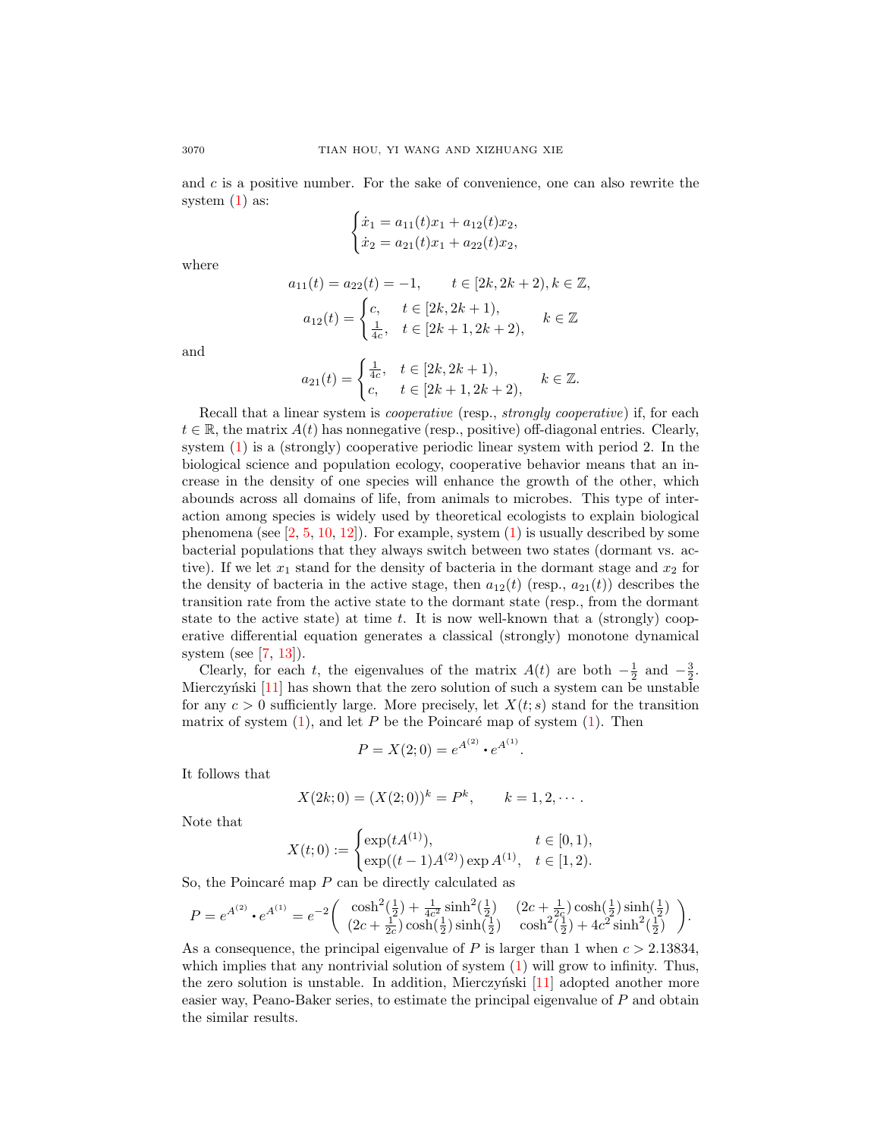and  $c$  is a positive number. For the sake of convenience, one can also rewrite the system [\(1\)](#page-0-0) as:

$$
\begin{cases}\n\dot{x}_1 = a_{11}(t)x_1 + a_{12}(t)x_2, \\
\dot{x}_2 = a_{21}(t)x_1 + a_{22}(t)x_2,\n\end{cases}
$$

where

$$
a_{11}(t) = a_{22}(t) = -1, \t t \in [2k, 2k + 2), k \in \mathbb{Z},
$$
  

$$
a_{12}(t) = \begin{cases} c, & t \in [2k, 2k + 1), \\ \frac{1}{4c}, & t \in [2k + 1, 2k + 2), \end{cases} k \in \mathbb{Z}
$$

and

$$
a_{21}(t) = \begin{cases} \frac{1}{4c}, & t \in [2k, 2k+1), \\ c, & t \in [2k+1, 2k+2), \end{cases} \quad k \in \mathbb{Z}.
$$

Recall that a linear system is *cooperative* (resp., *strongly cooperative*) if, for each  $t \in \mathbb{R}$ , the matrix  $A(t)$  has nonnegative (resp., positive) off-diagonal entries. Clearly, system [\(1\)](#page-0-0) is a (strongly) cooperative periodic linear system with period 2. In the biological science and population ecology, cooperative behavior means that an increase in the density of one species will enhance the growth of the other, which abounds across all domains of life, from animals to microbes. This type of interaction among species is widely used by theoretical ecologists to explain biological phenomena (see  $[2, 5, 10, 12]$  $[2, 5, 10, 12]$  $[2, 5, 10, 12]$  $[2, 5, 10, 12]$  $[2, 5, 10, 12]$  $[2, 5, 10, 12]$  $[2, 5, 10, 12]$ ). For example, system  $(1)$  is usually described by some bacterial populations that they always switch between two states (dormant vs. active). If we let  $x_1$  stand for the density of bacteria in the dormant stage and  $x_2$  for the density of bacteria in the active stage, then  $a_{12}(t)$  (resp.,  $a_{21}(t)$ ) describes the transition rate from the active state to the dormant state (resp., from the dormant state to the active state) at time  $t$ . It is now well-known that a (strongly) cooperative differential equation generates a classical (strongly) monotone dynamical system (see  $[7, 13]$  $[7, 13]$  $[7, 13]$ ).

Clearly, for each t, the eigenvalues of the matrix  $A(t)$  are both  $-\frac{1}{2}$  and  $-\frac{3}{2}$ . Mierczyński  $[11]$  has shown that the zero solution of such a system can be unstable for any  $c > 0$  sufficiently large. More precisely, let  $X(t; s)$  stand for the transition matrix of system  $(1)$ , and let P be the Poincaré map of system  $(1)$ . Then

$$
P = X(2; 0) = e^{A^{(2)}} \cdot e^{A^{(1)}}
$$

.

It follows that

$$
X(2k; 0) = (X(2; 0))^k = P^k, \qquad k = 1, 2, \cdots.
$$

Note that

$$
X(t;0) := \begin{cases} \exp(tA^{(1)}), & t \in [0,1), \\ \exp((t-1)A^{(2)}) \exp A^{(1)}, & t \in [1,2). \end{cases}
$$

So, the Poincaré map  $P$  can be directly calculated as

$$
P = e^{A^{(2)}} \cdot e^{A^{(1)}} = e^{-2} \left( \begin{array}{cc} \cosh^2(\frac{1}{2}) + \frac{1}{4c^2} \sinh^2(\frac{1}{2}) & (2c + \frac{1}{2c}) \cosh(\frac{1}{2}) \sinh(\frac{1}{2}) \\ (2c + \frac{1}{2c}) \cosh(\frac{1}{2}) \sinh(\frac{1}{2}) & \cosh^2(\frac{1}{2}) + 4c^2 \sinh^2(\frac{1}{2}) \end{array} \right).
$$

As a consequence, the principal eigenvalue of P is larger than 1 when  $c > 2.13834$ , which implies that any nontrivial solution of system  $(1)$  will grow to infinity. Thus, the zero solution is unstable. In addition, Mierczyński  $[11]$  adopted another more easier way, Peano-Baker series, to estimate the principal eigenvalue of P and obtain the similar results.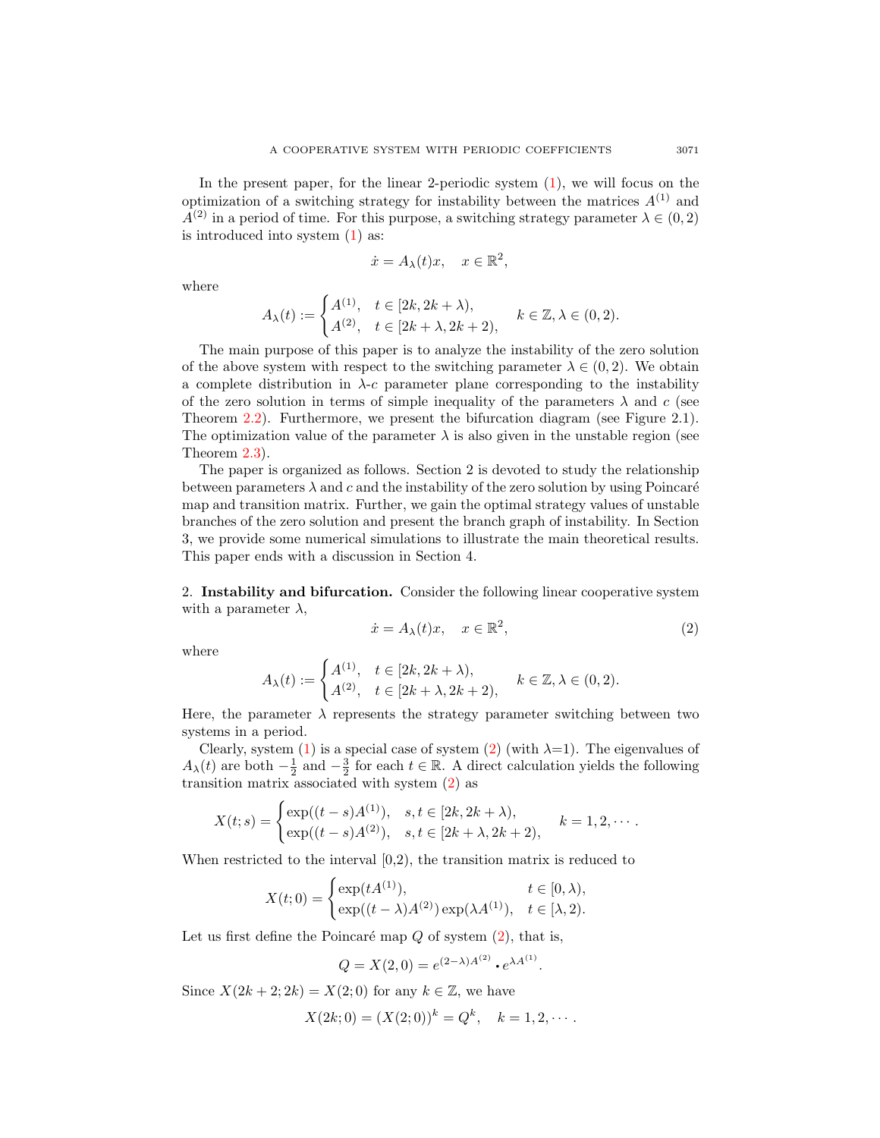In the present paper, for the linear 2-periodic system [\(1\)](#page-0-0), we will focus on the optimization of a switching strategy for instability between the matrices  $A^{(1)}$  and  $A^{(2)}$  in a period of time. For this purpose, a switching strategy parameter  $\lambda \in (0, 2)$ is introduced into system [\(1\)](#page-0-0) as:

$$
\dot{x} = A_{\lambda}(t)x, \quad x \in \mathbb{R}^2,
$$

where

$$
A_{\lambda}(t) := \begin{cases} A^{(1)}, & t \in [2k, 2k + \lambda), \\ A^{(2)}, & t \in [2k + \lambda, 2k + 2), \end{cases} k \in \mathbb{Z}, \lambda \in (0, 2).
$$

The main purpose of this paper is to analyze the instability of the zero solution of the above system with respect to the switching parameter  $\lambda \in (0, 2)$ . We obtain a complete distribution in  $\lambda$ -c parameter plane corresponding to the instability of the zero solution in terms of simple inequality of the parameters  $\lambda$  and c (see Theorem [2.2\)](#page-3-0). Furthermore, we present the bifurcation diagram (see Figure 2.1). The optimization value of the parameter  $\lambda$  is also given in the unstable region (see Theorem [2.3\)](#page-5-0).

The paper is organized as follows. Section 2 is devoted to study the relationship between parameters  $\lambda$  and c and the instability of the zero solution by using Poincaré map and transition matrix. Further, we gain the optimal strategy values of unstable branches of the zero solution and present the branch graph of instability. In Section 3, we provide some numerical simulations to illustrate the main theoretical results. This paper ends with a discussion in Section 4.

2. Instability and bifurcation. Consider the following linear cooperative system with a parameter  $\lambda$ ,

<span id="page-2-0"></span>
$$
\dot{x} = A_{\lambda}(t)x, \quad x \in \mathbb{R}^2,
$$
\n<sup>(2)</sup>

where

<span id="page-2-1"></span>
$$
A_{\lambda}(t) := \begin{cases} A^{(1)}, & t \in [2k, 2k + \lambda), \\ A^{(2)}, & t \in [2k + \lambda, 2k + 2), \end{cases} k \in \mathbb{Z}, \lambda \in (0, 2).
$$

Here, the parameter  $\lambda$  represents the strategy parameter switching between two systems in a period.

Clearly, system [\(1\)](#page-0-0) is a special case of system [\(2\)](#page-2-0) (with  $\lambda=1$ ). The eigenvalues of  $A_{\lambda}(t)$  are both  $-\frac{1}{2}$  and  $-\frac{3}{2}$  for each  $t \in \mathbb{R}$ . A direct calculation yields the following transition matrix associated with system [\(2\)](#page-2-0) as

$$
X(t;s) = \begin{cases} \exp((t-s)A^{(1)}), & s,t \in [2k, 2k + \lambda), \\ \exp((t-s)A^{(2)}), & s,t \in [2k + \lambda, 2k + 2), \end{cases} k = 1, 2, \cdots.
$$

When restricted to the interval [0,2), the transition matrix is reduced to

$$
X(t;0) = \begin{cases} \exp(tA^{(1)}), & t \in [0,\lambda), \\ \exp((t-\lambda)A^{(2)})\exp(\lambda A^{(1)}), & t \in [\lambda,2). \end{cases}
$$

Let us first define the Poincaré map  $Q$  of system  $(2)$ , that is,

$$
Q = X(2,0) = e^{(2-\lambda)A^{(2)}} \cdot e^{\lambda A^{(1)}}.
$$

Since  $X(2k+2; 2k) = X(2; 0)$  for any  $k \in \mathbb{Z}$ , we have

$$
X(2k; 0) = (X(2; 0))^k = Q^k, \quad k = 1, 2, \cdots.
$$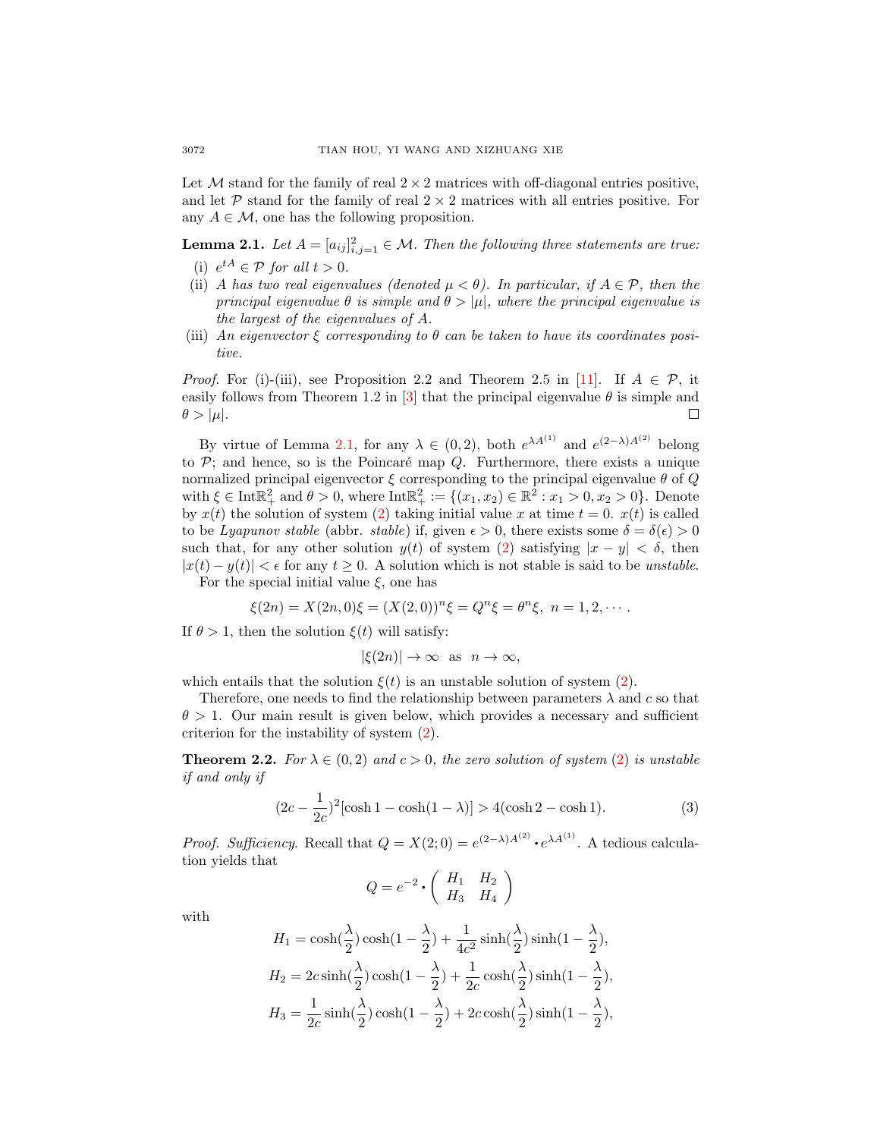Let  $\mathcal M$  stand for the family of real  $2 \times 2$  matrices with off-diagonal entries positive, and let P stand for the family of real  $2 \times 2$  matrices with all entries positive. For any  $A \in \mathcal{M}$ , one has the following proposition.

<span id="page-3-1"></span>**Lemma 2.1.** Let  $A = [a_{ij}]_{i,j=1}^2 \in \mathcal{M}$ . Then the following three statements are true: (i)  $e^{tA} \in \mathcal{P}$  for all  $t > 0$ .

- (ii) A has two real eigenvalues (denoted  $\mu < \theta$ ). In particular, if  $A \in \mathcal{P}$ , then the principal eigenvalue  $\theta$  is simple and  $\theta > |\mu|$ , where the principal eigenvalue is the largest of the eigenvalues of A.
- (iii) An eigenvector  $\xi$  corresponding to  $\theta$  can be taken to have its coordinates positive.

*Proof.* For (i)-(iii), see Proposition 2.2 and Theorem 2.5 in [\[11\]](#page-9-2). If  $A \in \mathcal{P}$ , it easily follows from Theorem 1.2 in [\[3\]](#page-9-8) that the principal eigenvalue  $\theta$  is simple and  $\theta > |\mu|.$ П

By virtue of Lemma [2.1,](#page-3-1) for any  $\lambda \in (0,2)$ , both  $e^{\lambda A^{(1)}}$  and  $e^{(2-\lambda)A^{(2)}}$  belong to  $P$ ; and hence, so is the Poincaré map  $Q$ . Furthermore, there exists a unique normalized principal eigenvector  $\xi$  corresponding to the principal eigenvalue  $\theta$  of  $Q$ with  $\xi \in \text{Int} \mathbb{R}^2_+$  and  $\theta > 0$ , where  $\text{Int} \mathbb{R}^2_+ := \{(x_1, x_2) \in \mathbb{R}^2 : x_1 > 0, x_2 > 0\}$ . Denote by  $x(t)$  the solution of system [\(2\)](#page-2-0) taking initial value x at time  $t = 0$ .  $x(t)$  is called to be Lyapunov stable (abbr. stable) if, given  $\epsilon > 0$ , there exists some  $\delta = \delta(\epsilon) > 0$ such that, for any other solution  $y(t)$  of system [\(2\)](#page-2-0) satisfying  $|x - y| < \delta$ , then  $|x(t) - y(t)| < \epsilon$  for any  $t \geq 0$ . A solution which is not stable is said to be *unstable*.

For the special initial value  $\xi$ , one has

$$
\xi(2n) = X(2n,0)\xi = (X(2,0))^n \xi = Q^n \xi = \theta^n \xi, \quad n = 1,2,\cdots.
$$

If  $\theta > 1$ , then the solution  $\xi(t)$  will satisfy:

$$
|\xi(2n)| \to \infty
$$
 as  $n \to \infty$ ,

which entails that the solution  $\xi(t)$  is an unstable solution of system [\(2\)](#page-2-0).

Therefore, one needs to find the relationship between parameters  $\lambda$  and  $c$  so that  $\theta > 1$ . Our main result is given below, which provides a necessary and sufficient criterion for the instability of system [\(2\)](#page-2-0).

<span id="page-3-0"></span>**Theorem 2.2.** For  $\lambda \in (0, 2)$  and  $c > 0$ , the zero solution of system [\(2\)](#page-2-0) is unstable if and only if

$$
(2c - \frac{1}{2c})^2 [\cosh 1 - \cosh(1 - \lambda)] > 4(\cosh 2 - \cosh 1). \tag{3}
$$

*Proof. Sufficiency.* Recall that  $Q = X(2,0) = e^{(2-\lambda)A^{(2)}} \cdot e^{\lambda A^{(1)}}$ . A tedious calculation yields that

<span id="page-3-2"></span>
$$
Q = e^{-2} \cdot \left( \begin{array}{cc} H_1 & H_2 \\ H_3 & H_4 \end{array} \right)
$$

with

$$
H_1 = \cosh(\frac{\lambda}{2})\cosh(1-\frac{\lambda}{2}) + \frac{1}{4c^2}\sinh(\frac{\lambda}{2})\sinh(1-\frac{\lambda}{2}),
$$
  
\n
$$
H_2 = 2c\sinh(\frac{\lambda}{2})\cosh(1-\frac{\lambda}{2}) + \frac{1}{2c}\cosh(\frac{\lambda}{2})\sinh(1-\frac{\lambda}{2}),
$$
  
\n
$$
H_3 = \frac{1}{2c}\sinh(\frac{\lambda}{2})\cosh(1-\frac{\lambda}{2}) + 2c\cosh(\frac{\lambda}{2})\sinh(1-\frac{\lambda}{2}),
$$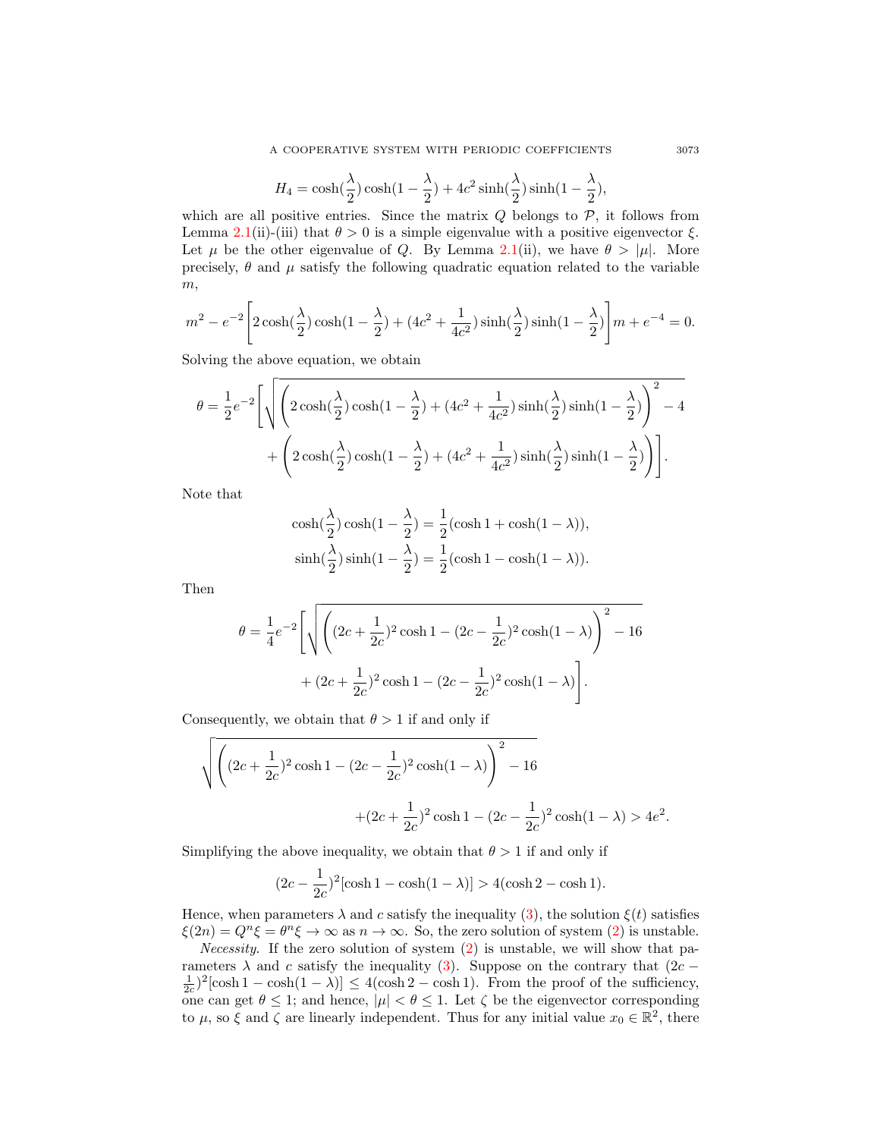$$
H_4 = \cosh(\frac{\lambda}{2})\cosh(1-\frac{\lambda}{2}) + 4c^2\sinh(\frac{\lambda}{2})\sinh(1-\frac{\lambda}{2}),
$$

which are all positive entries. Since the matrix  $Q$  belongs to  $\mathcal{P}$ , it follows from Lemma [2.1\(](#page-3-1)ii)-(iii) that  $\theta > 0$  is a simple eigenvalue with a positive eigenvector  $\xi$ . Let  $\mu$  be the other eigenvalue of Q. By Lemma [2.1\(](#page-3-1)ii), we have  $\theta > |\mu|$ . More precisely,  $\theta$  and  $\mu$  satisfy the following quadratic equation related to the variable  $m,$ 

$$
m^{2} - e^{-2} \left[ 2 \cosh(\frac{\lambda}{2}) \cosh(1 - \frac{\lambda}{2}) + (4c^{2} + \frac{1}{4c^{2}}) \sinh(\frac{\lambda}{2}) \sinh(1 - \frac{\lambda}{2}) \right] m + e^{-4} = 0.
$$

Solving the above equation, we obtain

$$
\theta = \frac{1}{2}e^{-2}\left[\sqrt{\left(2\cosh(\frac{\lambda}{2})\cosh(1-\frac{\lambda}{2})+(4c^2+\frac{1}{4c^2})\sinh(\frac{\lambda}{2})\sinh(1-\frac{\lambda}{2})\right)^2-4}+\left(2\cosh(\frac{\lambda}{2})\cosh(1-\frac{\lambda}{2})+(4c^2+\frac{1}{4c^2})\sinh(\frac{\lambda}{2})\sinh(1-\frac{\lambda}{2})\right)\right].
$$

Note that

$$
\cosh(\frac{\lambda}{2})\cosh(1-\frac{\lambda}{2}) = \frac{1}{2}(\cosh 1 + \cosh(1-\lambda)),
$$
  
\n
$$
\sinh(\frac{\lambda}{2})\sinh(1-\frac{\lambda}{2}) = \frac{1}{2}(\cosh 1 - \cosh(1-\lambda)).
$$

Then

$$
\theta = \frac{1}{4}e^{-2}\left[\sqrt{\left((2c+\frac{1}{2c})^2\cosh 1 - (2c-\frac{1}{2c})^2\cosh(1-\lambda)\right)^2 - 16} + (2c+\frac{1}{2c})^2\cosh 1 - (2c-\frac{1}{2c})^2\cosh(1-\lambda)\right].
$$

Consequently, we obtain that  $\theta > 1$  if and only if

$$
\sqrt{\left((2c+\frac{1}{2c})^2\cosh 1 - (2c-\frac{1}{2c})^2\cosh(1-\lambda)\right)^2 - 16}
$$
  
 
$$
+(2c+\frac{1}{2c})^2\cosh 1 - (2c-\frac{1}{2c})^2\cosh(1-\lambda) > 4e^2.
$$

Simplifying the above inequality, we obtain that  $\theta > 1$  if and only if

$$
(2c - \frac{1}{2c})^2 [\cosh 1 - \cosh(1 - \lambda)] > 4(\cosh 2 - \cosh 1).
$$

Hence, when parameters  $\lambda$  and c satisfy the inequality [\(3\)](#page-2-1), the solution  $\xi(t)$  satisfies  $\xi(2n) = Q^n \xi = \theta^n \xi \to \infty$  as  $n \to \infty$ . So, the zero solution of system [\(2\)](#page-2-0) is unstable.

*Necessity.* If the zero solution of system  $(2)$  is unstable, we will show that parameters  $\lambda$  and c satisfy the inequality [\(3\)](#page-2-1). Suppose on the contrary that (2c −  $\frac{1}{2c}$ <sup>2</sup>[cosh 1 – cosh(1 –  $\lambda$ )]  $\leq 4(\cosh 2 - \cosh 1)$ . From the proof of the sufficiency, one can get  $\theta \leq 1$ ; and hence,  $|\mu| < \theta \leq 1$ . Let  $\zeta$  be the eigenvector corresponding to  $\mu$ , so  $\xi$  and  $\zeta$  are linearly independent. Thus for any initial value  $x_0 \in \mathbb{R}^2$ , there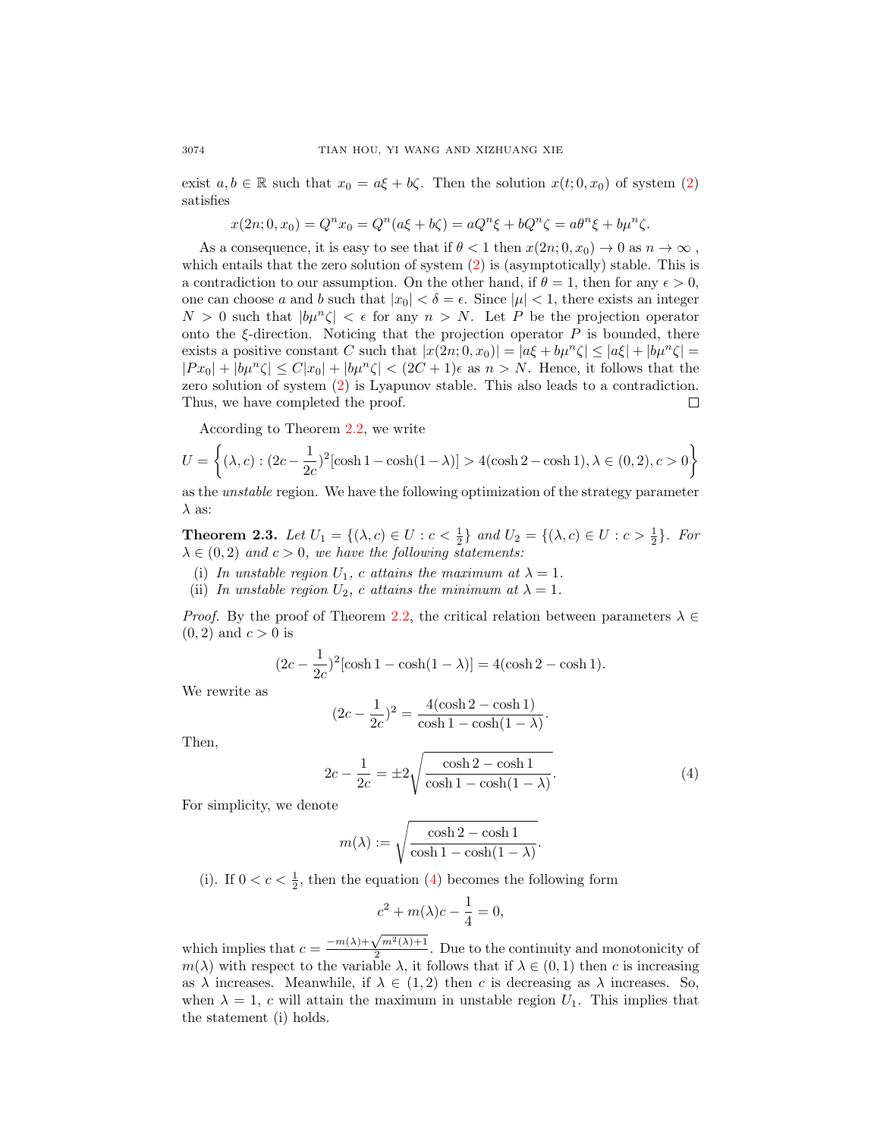exist  $a, b \in \mathbb{R}$  such that  $x_0 = a\xi + b\zeta$ . Then the solution  $x(t; 0, x_0)$  of system [\(2\)](#page-2-0) satisfies

$$
x(2n; 0, x_0) = Q^n x_0 = Q^n(a\xi + b\zeta) = aQ^n \xi + bQ^n \zeta = a\theta^n \xi + b\mu^n \zeta.
$$

As a consequence, it is easy to see that if  $\theta < 1$  then  $x(2n; 0, x_0) \to 0$  as  $n \to \infty$ , which entails that the zero solution of system  $(2)$  is (asymptotically) stable. This is a contradiction to our assumption. On the other hand, if  $\theta = 1$ , then for any  $\epsilon > 0$ , one can choose a and b such that  $|x_0| < \delta = \epsilon$ . Since  $|\mu| < 1$ , there exists an integer  $N > 0$  such that  $|b\mu^n \zeta| < \epsilon$  for any  $n > N$ . Let P be the projection operator onto the  $\xi$ -direction. Noticing that the projection operator  $P$  is bounded, there exists a positive constant C such that  $|x(2n; 0, x_0)| = |a\xi + b\mu^n\zeta| \leq |a\xi| + |b\mu^n\zeta|$  $|Px_0| + |b\mu^n\zeta| \leq C|x_0| + |b\mu^n\zeta| < (2C+1)\epsilon$  as  $n > N$ . Hence, it follows that the zero solution of system [\(2\)](#page-2-0) is Lyapunov stable. This also leads to a contradiction. Thus, we have completed the proof.  $\Box$ 

According to Theorem [2.2,](#page-3-0) we write

$$
U = \left\{ (\lambda, c) : (2c - \frac{1}{2c})^2 [\cosh 1 - \cosh(1 - \lambda)] > 4(\cosh 2 - \cosh 1), \lambda \in (0, 2), c > 0 \right\}
$$

as the unstable region. We have the following optimization of the strategy parameter  $\lambda$  as:

<span id="page-5-0"></span>**Theorem 2.3.** Let  $U_1 = \{ (\lambda, c) \in U : c < \frac{1}{2} \}$  and  $U_2 = \{ (\lambda, c) \in U : c > \frac{1}{2} \}$ . For  $\lambda \in (0, 2)$  and  $c > 0$ , we have the following statements:

- (i) In unstable region  $U_1$ , c attains the maximum at  $\lambda = 1$ .
- (ii) In unstable region  $U_2$ , c attains the minimum at  $\lambda = 1$ .

*Proof.* By the proof of Theorem [2.2,](#page-3-0) the critical relation between parameters  $\lambda \in$  $(0, 2)$  and  $c > 0$  is

$$
(2c - \frac{1}{2c})^2 [\cosh 1 - \cosh(1 - \lambda)] = 4(\cosh 2 - \cosh 1).
$$

We rewrite as

$$
(2c - \frac{1}{2c})^2 = \frac{4(\cosh 2 - \cosh 1)}{\cosh 1 - \cosh(1 - \lambda)}.
$$

Then,

$$
2c - \frac{1}{2c} = \pm 2\sqrt{\frac{\cosh 2 - \cosh 1}{\cosh 1 - \cosh(1 - \lambda)}}.\tag{4}
$$

For simplicity, we denote

$$
m(\lambda) := \sqrt{\frac{\cosh 2 - \cosh 1}{\cosh 1 - \cosh(1 - \lambda)}}.
$$

(i). If  $0 < c < \frac{1}{2}$ , then the equation [\(4\)](#page-3-2) becomes the following form

$$
c^2 + m(\lambda)c - \frac{1}{4} = 0,
$$

which implies that  $c = \frac{-m(\lambda) + \sqrt{m^2(\lambda) + 1}}{2}$  $\frac{\sqrt{m}(\lambda)+1}{2}$ . Due to the continuity and monotonicity of  $m(\lambda)$  with respect to the variable  $\lambda$ , it follows that if  $\lambda \in (0,1)$  then c is increasing as  $\lambda$  increases. Meanwhile, if  $\lambda \in (1,2)$  then c is decreasing as  $\lambda$  increases. So, when  $\lambda = 1$ , c will attain the maximum in unstable region  $U_1$ . This implies that the statement (i) holds.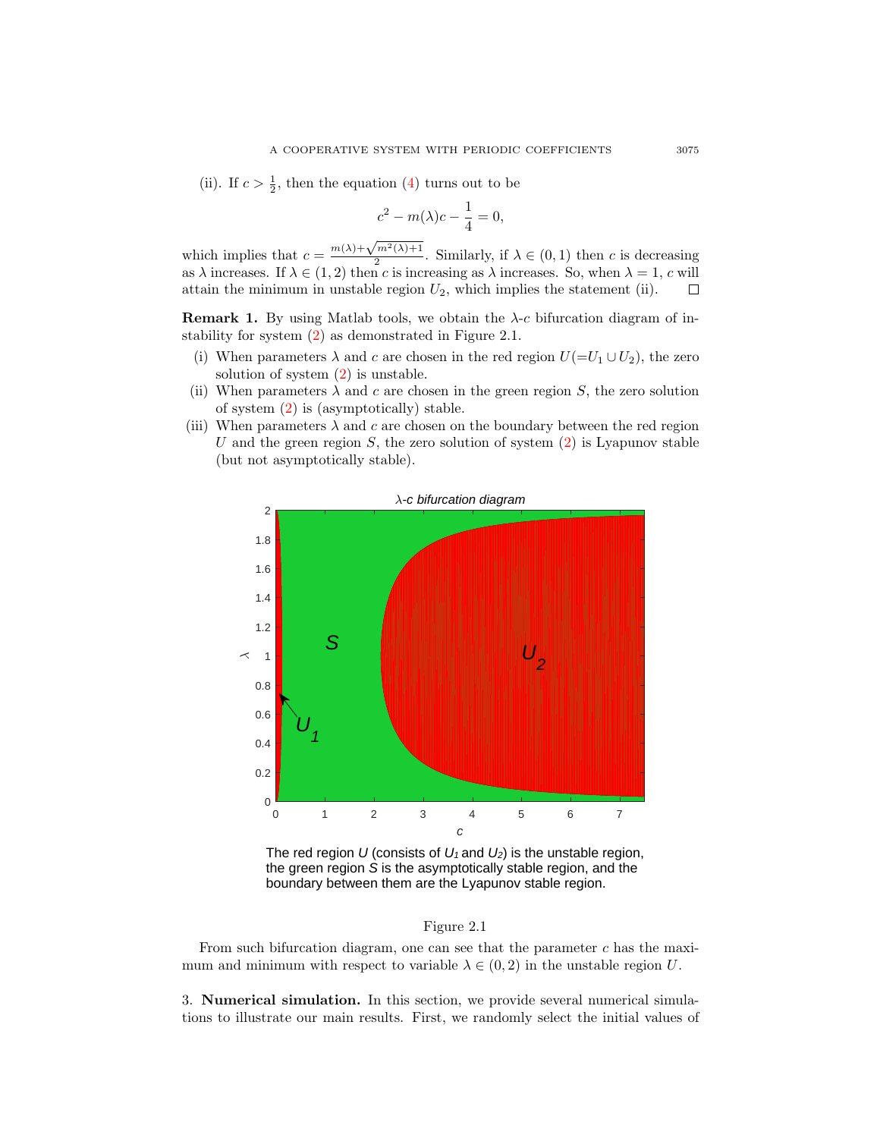(ii). If  $c > \frac{1}{2}$ , then the equation [\(4\)](#page-3-2) turns out to be

$$
c^2 - m(\lambda)c - \frac{1}{4} = 0,
$$

which implies that  $c = \frac{m(\lambda) + \sqrt{m^2(\lambda) + 1}}{2}$  $\frac{m(x)+1}{2}$ . Similarly, if  $\lambda \in (0,1)$  then c is decreasing as  $\lambda$  increases. If  $\lambda \in (1, 2)$  then c is increasing as  $\lambda$  increases. So, when  $\lambda = 1$ , c will attain the minimum in unstable region  $U_2$ , which implies the statement (ii).  $\Box$ 

**Remark 1.** By using Matlab tools, we obtain the  $\lambda$ -c bifurcation diagram of instability for system [\(2\)](#page-2-0) as demonstrated in Figure 2.1.

- (i) When parameters  $\lambda$  and c are chosen in the red region  $U(=U_1 \cup U_2)$ , the zero solution of system [\(2\)](#page-2-0) is unstable.
- (ii) When parameters  $\lambda$  and c are chosen in the green region S, the zero solution of system [\(2\)](#page-2-0) is (asymptotically) stable.
- (iii) When parameters  $\lambda$  and c are chosen on the boundary between the red region U and the green region S, the zero solution of system  $(2)$  is Lyapunov stable (but not asymptotically stable).



The red region U (consists of  $U_1$  and  $U_2$ ) is the unstable region, the green region S is the asymptotically stable region, and the boundary between them are the Lyapunov stable region.

## Figure 2.1

From such bifurcation diagram, one can see that the parameter  $c$  has the maximum and minimum with respect to variable  $\lambda \in (0, 2)$  in the unstable region U.

3. Numerical simulation. In this section, we provide several numerical simulations to illustrate our main results. First, we randomly select the initial values of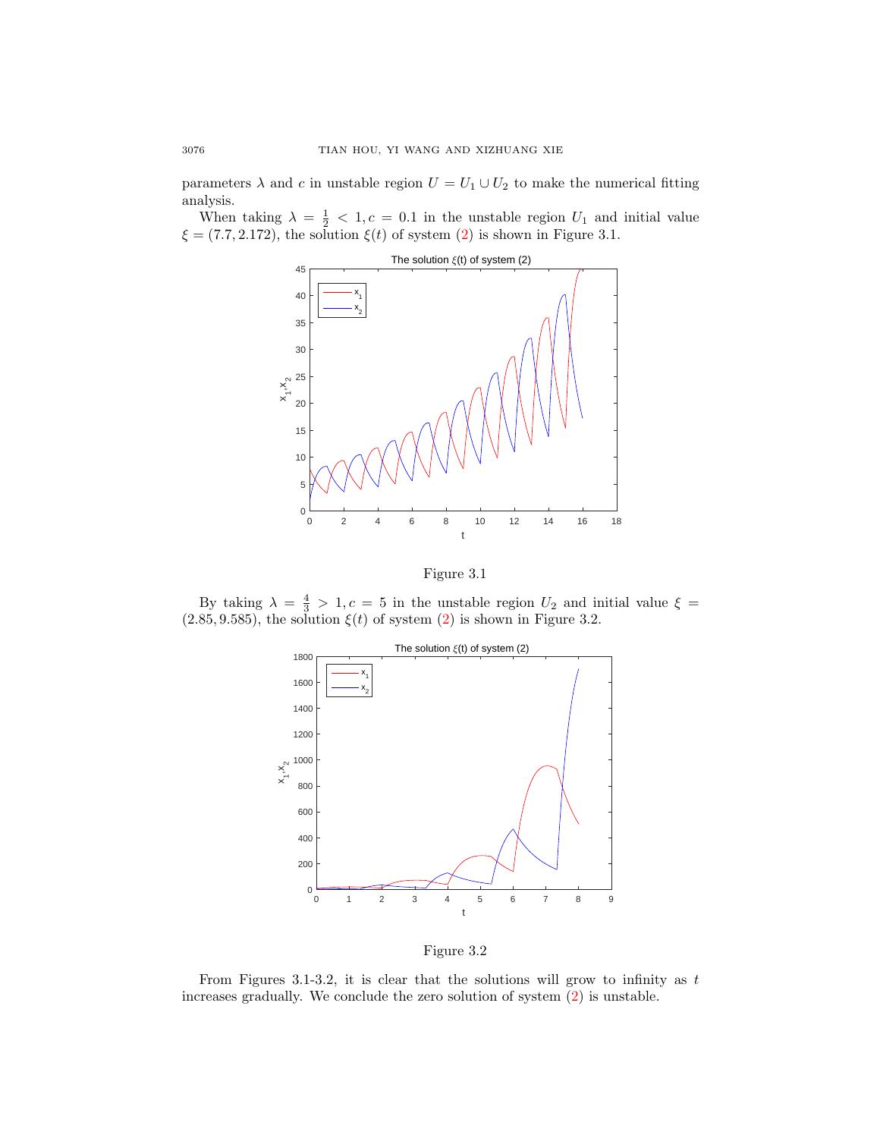parameters  $\lambda$  and c in unstable region  $U = U_1 \cup U_2$  to make the numerical fitting analysis.

When taking  $\lambda = \frac{1}{2} < 1, c = 0.1$  in the unstable region  $U_1$  and initial value  $\xi = (7.7, 2.172)$ , the solution  $\xi(t)$  of system  $(2)$  is shown in Figure 3.1.





By taking  $\lambda = \frac{4}{3} > 1, c = 5$  in the unstable region  $U_2$  and initial value  $\xi =$  $(2.85, 9.585)$ , the solution  $\xi(t)$  of system  $(2)$  is shown in Figure 3.2.





From Figures 3.1-3.2, it is clear that the solutions will grow to infinity as  $t$ increases gradually. We conclude the zero solution of system [\(2\)](#page-2-0) is unstable.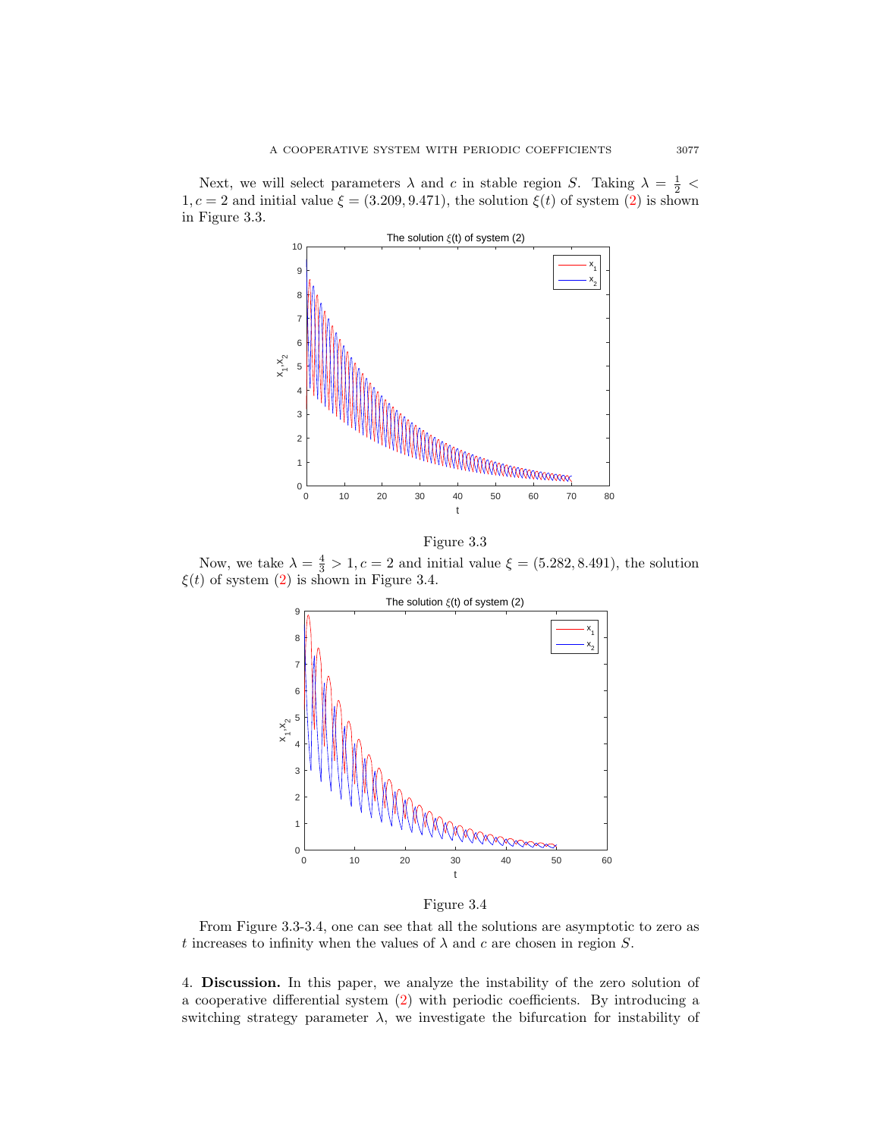Next, we will select parameters  $\lambda$  and c in stable region S. Taking  $\lambda = \frac{1}{2}$  <  $1, c = 2$  and initial value  $\xi = (3.209, 9.471)$ , the solution  $\xi(t)$  of system [\(2\)](#page-2-0) is shown in Figure 3.3.





Now, we take  $\lambda = \frac{4}{3} > 1, c = 2$  and initial value  $\xi = (5.282, 8.491)$ , the solution  $\xi(t)$  of system [\(2\)](#page-2-0) is shown in Figure 3.4.



Figure 3.4

From Figure 3.3-3.4, one can see that all the solutions are asymptotic to zero as t increases to infinity when the values of  $\lambda$  and c are chosen in region S.

4. Discussion. In this paper, we analyze the instability of the zero solution of a cooperative differential system [\(2\)](#page-2-0) with periodic coefficients. By introducing a switching strategy parameter  $\lambda$ , we investigate the bifurcation for instability of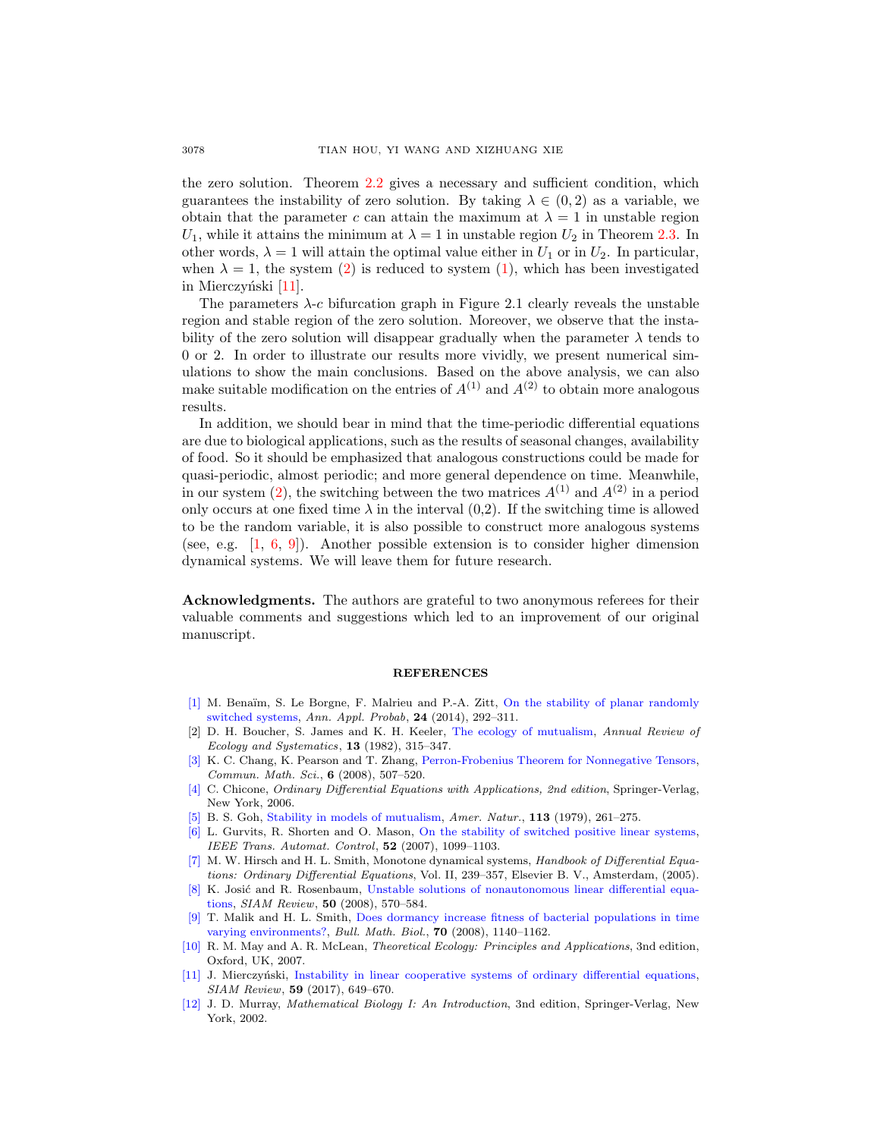the zero solution. Theorem [2.2](#page-3-0) gives a necessary and sufficient condition, which guarantees the instability of zero solution. By taking  $\lambda \in (0, 2)$  as a variable, we obtain that the parameter c can attain the maximum at  $\lambda = 1$  in unstable region  $U_1$ , while it attains the minimum at  $\lambda = 1$  in unstable region  $U_2$  in Theorem [2.3.](#page-5-0) In other words,  $\lambda = 1$  will attain the optimal value either in  $U_1$  or in  $U_2$ . In particular, when  $\lambda = 1$ , the system [\(2\)](#page-2-0) is reduced to system [\(1\)](#page-0-0), which has been investigated in Mierczyński [\[11\]](#page-9-2).

The parameters  $\lambda$ -c bifurcation graph in Figure 2.1 clearly reveals the unstable region and stable region of the zero solution. Moreover, we observe that the instability of the zero solution will disappear gradually when the parameter  $\lambda$  tends to 0 or 2. In order to illustrate our results more vividly, we present numerical simulations to show the main conclusions. Based on the above analysis, we can also make suitable modification on the entries of  $A^{(1)}$  and  $A^{(2)}$  to obtain more analogous results.

In addition, we should bear in mind that the time-periodic differential equations are due to biological applications, such as the results of seasonal changes, availability of food. So it should be emphasized that analogous constructions could be made for quasi-periodic, almost periodic; and more general dependence on time. Meanwhile, in our system [\(2\)](#page-2-0), the switching between the two matrices  $A^{(1)}$  and  $A^{(2)}$  in a period only occurs at one fixed time  $\lambda$  in the interval  $(0,2)$ . If the switching time is allowed to be the random variable, it is also possible to construct more analogous systems (see, e.g.  $[1, 6, 9]$  $[1, 6, 9]$  $[1, 6, 9]$  $[1, 6, 9]$  $[1, 6, 9]$ ). Another possible extension is to consider higher dimension dynamical systems. We will leave them for future research.

Acknowledgments. The authors are grateful to two anonymous referees for their valuable comments and suggestions which led to an improvement of our original manuscript.

## **REFERENCES**

- <span id="page-9-9"></span>[\[1\]](http://www.ams.org/mathscinet-getitem?mr=MR3161648&return=pdf) M. Benaïm, S. Le Borgne, F. Malrieu and P.-A. Zitt, [On the stability of planar randomly](http://dx.doi.org/10.1214/13-AAP924) [switched systems,](http://dx.doi.org/10.1214/13-AAP924) Ann. Appl. Probab, 24 (2014), 292–311.
- <span id="page-9-3"></span>[2] D. H. Boucher, S. James and K. H. Keeler, [The ecology of mutualism,](http://dx.doi.org/10.1146/annurev.es.13.110182.001531) Annual Review of Ecology and Systematics,  $13$  (1982), 315–347.
- <span id="page-9-8"></span>[\[3\]](http://www.ams.org/mathscinet-getitem?mr=MR2435198&return=pdf) K. C. Chang, K. Pearson and T. Zhang, [Perron-Frobenius Theorem for Nonnegative Tensors,](http://dx.doi.org/10.4310/CMS.2008.v6.n2.a12) Commun. Math. Sci., 6 (2008), 507–520.
- <span id="page-9-0"></span>[\[4\]](http://www.ams.org/mathscinet-getitem?mr=MR2224508&return=pdf) C. Chicone, Ordinary Differential Equations with Applications, 2nd edition, Springer-Verlag, New York, 2006.
- <span id="page-9-4"></span>[\[5\]](http://www.ams.org/mathscinet-getitem?mr=MR596837&return=pdf) B. S. Goh, [Stability in models of mutualism,](http://dx.doi.org/10.1086/283384) Amer. Natur., 113 (1979), 261–275.
- <span id="page-9-10"></span>[\[6\]](http://www.ams.org/mathscinet-getitem?mr=MR2329904&return=pdf) L. Gurvits, R. Shorten and O. Mason, [On the stability of switched positive linear systems,](http://dx.doi.org/10.1109/TAC.2007.899057) IEEE Trans. Automat. Control, 52 (2007), 1099–1103.
- <span id="page-9-7"></span>[\[7\]](http://www.ams.org/mathscinet-getitem?mr=MR2182759&return=pdf) M. W. Hirsch and H. L. Smith, Monotone dynamical systems, Handbook of Differential Equations: Ordinary Differential Equations, Vol. II, 239–357, Elsevier B. V., Amsterdam, (2005).
- <span id="page-9-1"></span>[\[8\]](http://www.ams.org/mathscinet-getitem?mr=MR2429450&return=pdf) K. Josić and R. Rosenbaum, [Unstable solutions of nonautonomous linear differential equa](http://dx.doi.org/10.1137/060677057)[tions,](http://dx.doi.org/10.1137/060677057) SIAM Review, 50 (2008), 570–584.
- <span id="page-9-11"></span>[\[9\]](http://www.ams.org/mathscinet-getitem?mr=MR2391183&return=pdf) T. Malik and H. L. Smith, [Does dormancy increase fitness of bacterial populations in time](http://dx.doi.org/10.1007/s11538-008-9294-5) [varying environments?,](http://dx.doi.org/10.1007/s11538-008-9294-5) Bull. Math. Biol., 70 (2008), 1140–1162.
- <span id="page-9-5"></span>[\[10\]](http://www.ams.org/mathscinet-getitem?mr=MR2407721&return=pdf) R. M. May and A. R. McLean, Theoretical Ecology: Principles and Applications, 3nd edition, Oxford, UK, 2007.
- <span id="page-9-2"></span>[\[11\]](http://www.ams.org/mathscinet-getitem?mr=MR3683685&return=pdf) J. Mierczyński, [Instability in linear cooperative systems of ordinary differential equations,](http://dx.doi.org/10.1137/141001147) SIAM Review, 59 (2017), 649–670.
- <span id="page-9-6"></span>[\[12\]](http://www.ams.org/mathscinet-getitem?mr=MR1908418&return=pdf) J. D. Murray, Mathematical Biology I: An Introduction, 3nd edition, Springer-Verlag, New York, 2002.